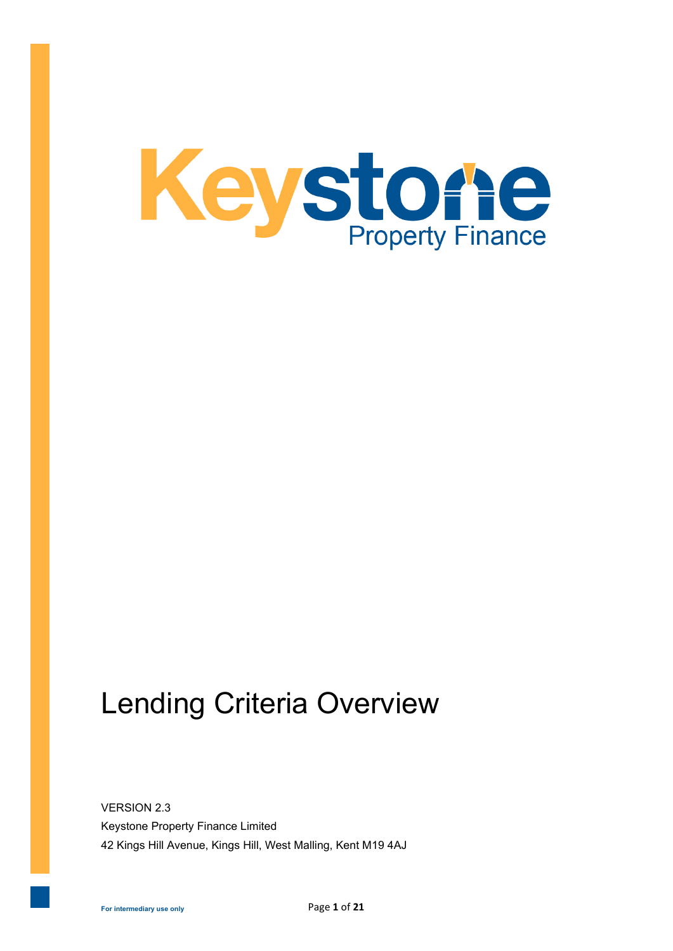

# Lending Criteria Overview

VERSION 2.3 Keystone Property Finance Limited 42 Kings Hill Avenue, Kings Hill, West Malling, Kent M19 4AJ

**For intermediary use only**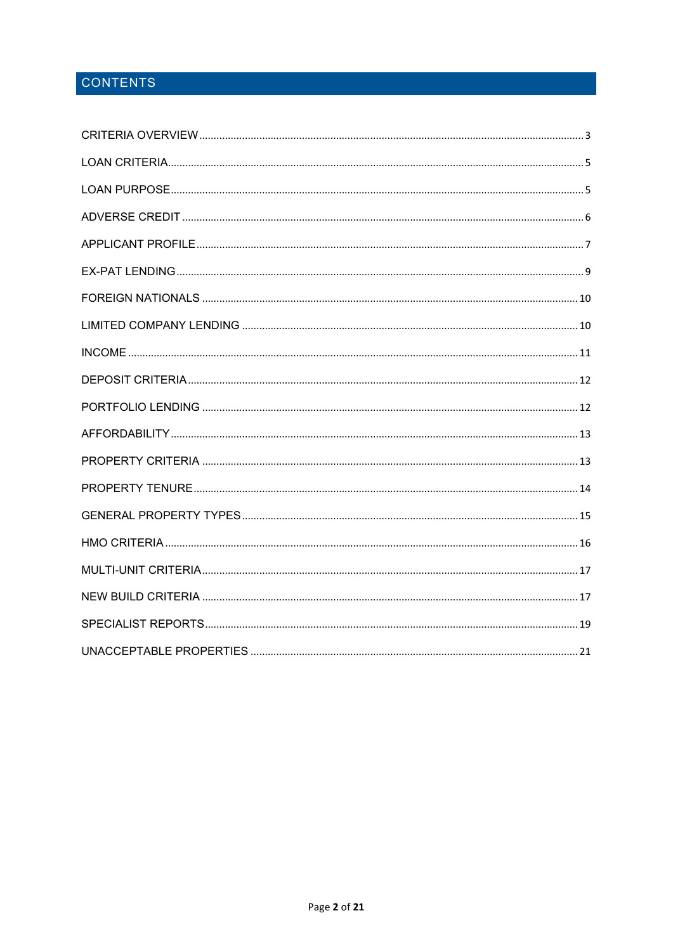# CONTENTS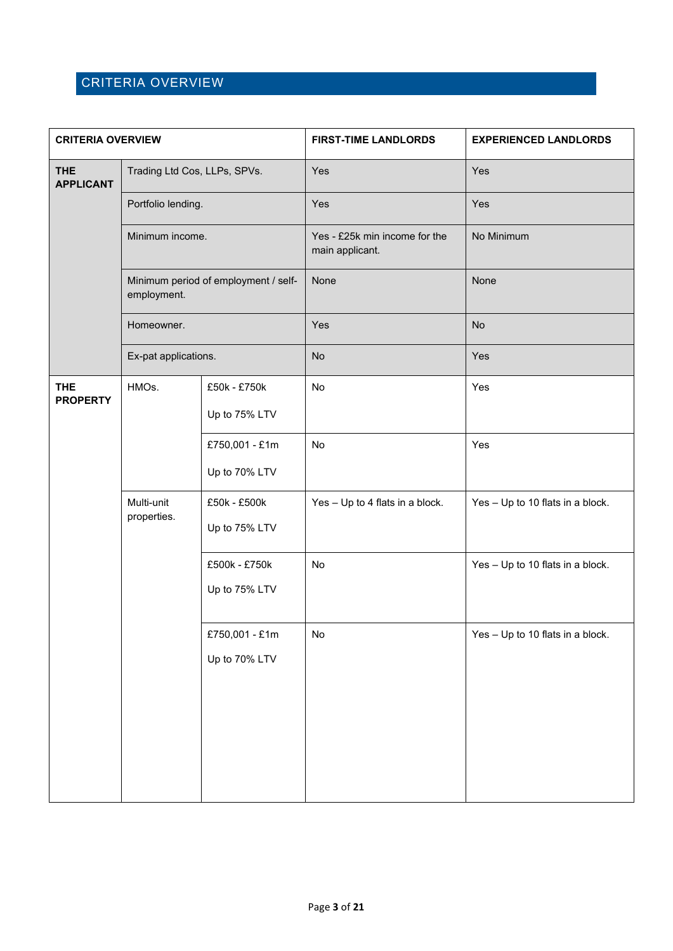### <span id="page-2-0"></span>CRITERIA OVERVIEW

| <b>CRITERIA OVERVIEW</b>       |                                                    | <b>FIRST-TIME LANDLORDS</b>          | <b>EXPERIENCED LANDLORDS</b>                     |                                  |
|--------------------------------|----------------------------------------------------|--------------------------------------|--------------------------------------------------|----------------------------------|
| <b>THE</b><br><b>APPLICANT</b> | Trading Ltd Cos, LLPs, SPVs.<br>Portfolio lending. |                                      | Yes                                              | Yes                              |
|                                |                                                    |                                      | Yes                                              | Yes                              |
|                                | Minimum income.                                    |                                      | Yes - £25k min income for the<br>main applicant. | No Minimum                       |
|                                | employment.                                        | Minimum period of employment / self- | None                                             | None                             |
|                                | Homeowner.                                         |                                      | Yes                                              | <b>No</b>                        |
|                                | Ex-pat applications.                               |                                      | <b>No</b>                                        | Yes                              |
| <b>THE</b><br><b>PROPERTY</b>  | HMOs.                                              | £50k - £750k<br>Up to 75% LTV        | No                                               | Yes                              |
|                                |                                                    | £750,001 - £1m<br>Up to 70% LTV      | No                                               | Yes                              |
|                                | Multi-unit<br>properties.                          | £50k - £500k<br>Up to 75% LTV        | Yes - Up to 4 flats in a block.                  | Yes - Up to 10 flats in a block. |
|                                |                                                    | £500k - £750k<br>Up to 75% LTV       | No                                               | Yes - Up to 10 flats in a block. |
|                                |                                                    | £750,001 - £1m<br>Up to 70% LTV      | No                                               | Yes - Up to 10 flats in a block. |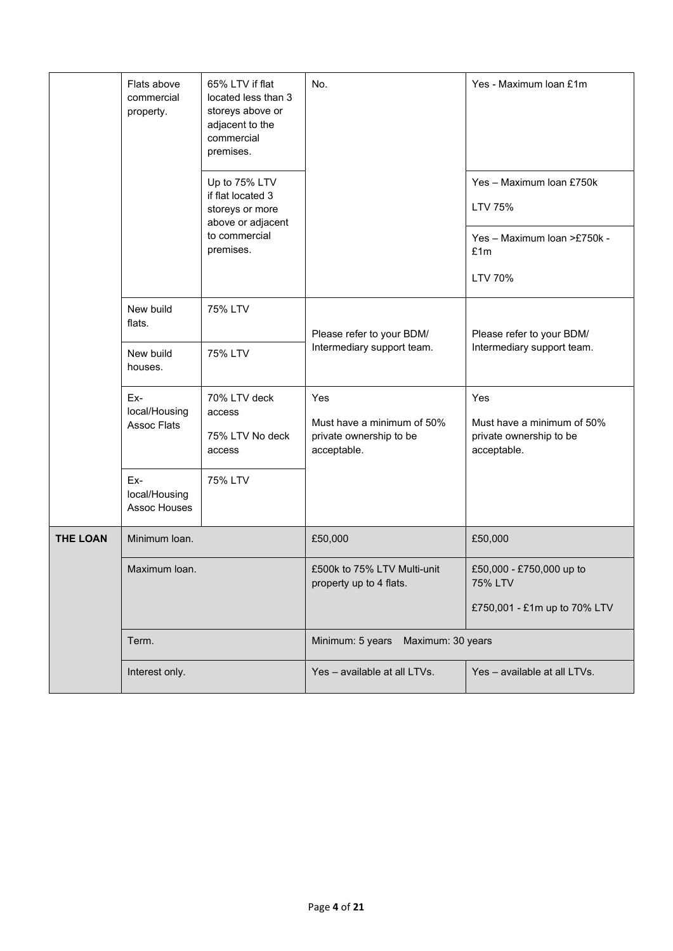|                 | Flats above<br>commercial<br>property.     | 65% LTV if flat<br>located less than 3<br>storeys above or<br>adjacent to the<br>commercial<br>premises.<br>Up to 75% LTV<br>if flat located 3<br>storeys or more<br>above or adjacent<br>to commercial<br>premises. | No.                                                                         | Yes - Maximum Ioan £1m<br>Yes - Maximum Ioan £750k<br>LTV 75%<br>Yes - Maximum Ioan >£750k -<br>£1m<br>LTV 70% |
|-----------------|--------------------------------------------|----------------------------------------------------------------------------------------------------------------------------------------------------------------------------------------------------------------------|-----------------------------------------------------------------------------|----------------------------------------------------------------------------------------------------------------|
|                 | New build<br>flats.                        | 75% LTV                                                                                                                                                                                                              | Please refer to your BDM/<br>Intermediary support team.                     | Please refer to your BDM/<br>Intermediary support team.                                                        |
|                 | New build<br>houses.                       | 75% LTV                                                                                                                                                                                                              |                                                                             |                                                                                                                |
|                 | Ex-<br>local/Housing<br><b>Assoc Flats</b> | 70% LTV deck<br>access<br>75% LTV No deck<br>access                                                                                                                                                                  | Yes<br>Must have a minimum of 50%<br>private ownership to be<br>acceptable. | Yes<br>Must have a minimum of 50%<br>private ownership to be<br>acceptable.                                    |
|                 | Ex-<br>local/Housing<br>Assoc Houses       | 75% LTV                                                                                                                                                                                                              |                                                                             |                                                                                                                |
| <b>THE LOAN</b> | Minimum Ioan.                              |                                                                                                                                                                                                                      | £50,000                                                                     | £50,000                                                                                                        |
|                 | Maximum Ioan.                              |                                                                                                                                                                                                                      | £500k to 75% LTV Multi-unit<br>property up to 4 flats.                      | £50,000 - £750,000 up to<br>75% LTV<br>£750,001 - £1m up to 70% LTV                                            |
|                 | Term.                                      |                                                                                                                                                                                                                      | Minimum: 5 years<br>Maximum: 30 years                                       |                                                                                                                |
|                 | Interest only.                             |                                                                                                                                                                                                                      | Yes - available at all LTVs.                                                | Yes - available at all LTVs.                                                                                   |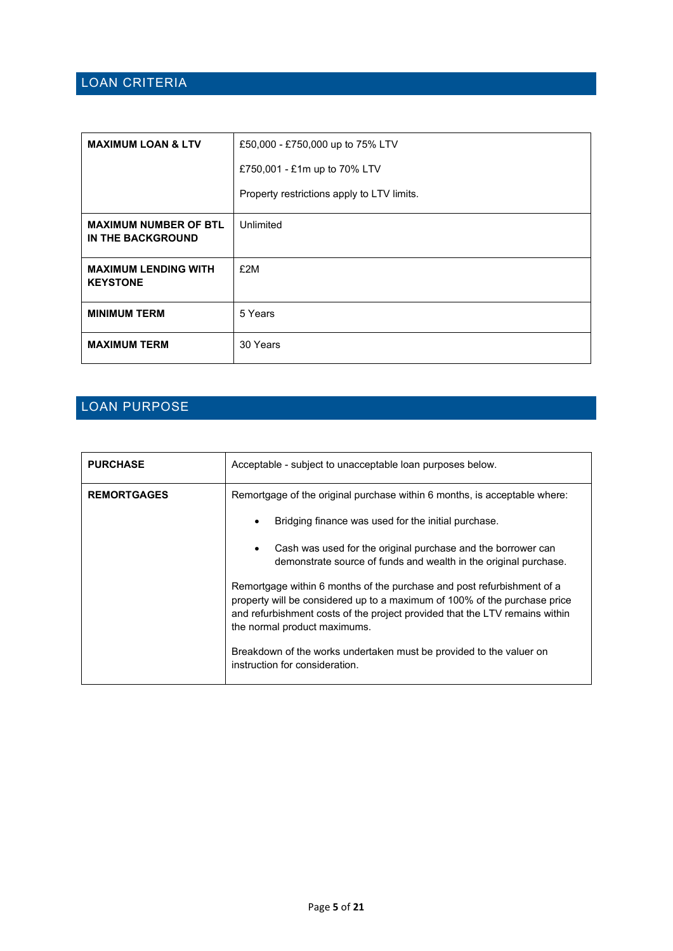### <span id="page-4-0"></span>LOAN CRITERIA

| <b>MAXIMUM LOAN &amp; LTV</b>                     | £50,000 - £750,000 up to 75% LTV           |
|---------------------------------------------------|--------------------------------------------|
|                                                   | £750,001 - £1m up to 70% LTV               |
|                                                   | Property restrictions apply to LTV limits. |
| <b>MAXIMUM NUMBER OF BTL</b><br>IN THE BACKGROUND | Unlimited                                  |
| <b>MAXIMUM LENDING WITH</b><br><b>KEYSTONE</b>    | £2M                                        |
| <b>MINIMUM TERM</b>                               | 5 Years                                    |
| <b>MAXIMUM TERM</b>                               | 30 Years                                   |

### <span id="page-4-1"></span>LOAN PURPOSE

| <b>PURCHASE</b>    | Acceptable - subject to unacceptable loan purposes below.                                                                                                                                                                                                          |
|--------------------|--------------------------------------------------------------------------------------------------------------------------------------------------------------------------------------------------------------------------------------------------------------------|
| <b>REMORTGAGES</b> | Remortgage of the original purchase within 6 months, is acceptable where:                                                                                                                                                                                          |
|                    | Bridging finance was used for the initial purchase.<br>٠                                                                                                                                                                                                           |
|                    | Cash was used for the original purchase and the borrower can<br>$\bullet$<br>demonstrate source of funds and wealth in the original purchase.                                                                                                                      |
|                    | Remortgage within 6 months of the purchase and post refurbishment of a<br>property will be considered up to a maximum of 100% of the purchase price<br>and refurbishment costs of the project provided that the LTV remains within<br>the normal product maximums. |
|                    | Breakdown of the works undertaken must be provided to the valuer on<br>instruction for consideration.                                                                                                                                                              |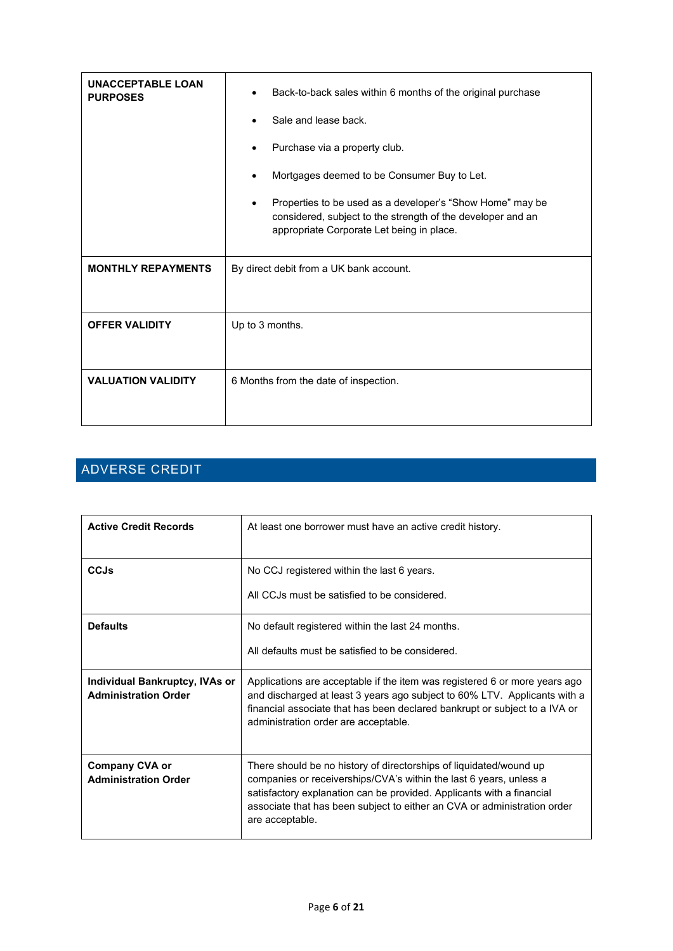| <b>UNACCEPTABLE LOAN</b><br><b>PURPOSES</b> | Back-to-back sales within 6 months of the original purchase<br>$\bullet$                                                                                              |  |  |
|---------------------------------------------|-----------------------------------------------------------------------------------------------------------------------------------------------------------------------|--|--|
|                                             | Sale and lease back.                                                                                                                                                  |  |  |
|                                             | Purchase via a property club.                                                                                                                                         |  |  |
|                                             | Mortgages deemed to be Consumer Buy to Let.                                                                                                                           |  |  |
|                                             | Properties to be used as a developer's "Show Home" may be<br>considered, subject to the strength of the developer and an<br>appropriate Corporate Let being in place. |  |  |
| <b>MONTHLY REPAYMENTS</b>                   | By direct debit from a UK bank account.                                                                                                                               |  |  |
|                                             |                                                                                                                                                                       |  |  |
| <b>OFFER VALIDITY</b>                       | Up to 3 months.                                                                                                                                                       |  |  |
|                                             |                                                                                                                                                                       |  |  |
| <b>VALUATION VALIDITY</b>                   | 6 Months from the date of inspection.                                                                                                                                 |  |  |
|                                             |                                                                                                                                                                       |  |  |

# <span id="page-5-0"></span>ADVERSE CREDIT

| <b>Active Credit Records</b>                                  | At least one borrower must have an active credit history.                                                                                                                                                                                                                                                        |
|---------------------------------------------------------------|------------------------------------------------------------------------------------------------------------------------------------------------------------------------------------------------------------------------------------------------------------------------------------------------------------------|
| <b>CCJs</b>                                                   | No CCJ registered within the last 6 years.<br>All CCJs must be satisfied to be considered.                                                                                                                                                                                                                       |
| <b>Defaults</b>                                               | No default registered within the last 24 months.<br>All defaults must be satisfied to be considered.                                                                                                                                                                                                             |
| Individual Bankruptcy, IVAs or<br><b>Administration Order</b> | Applications are acceptable if the item was registered 6 or more years ago<br>and discharged at least 3 years ago subject to 60% LTV. Applicants with a<br>financial associate that has been declared bankrupt or subject to a IVA or<br>administration order are acceptable.                                    |
| <b>Company CVA or</b><br><b>Administration Order</b>          | There should be no history of directorships of liquidated/wound up<br>companies or receiverships/CVA's within the last 6 years, unless a<br>satisfactory explanation can be provided. Applicants with a financial<br>associate that has been subject to either an CVA or administration order<br>are acceptable. |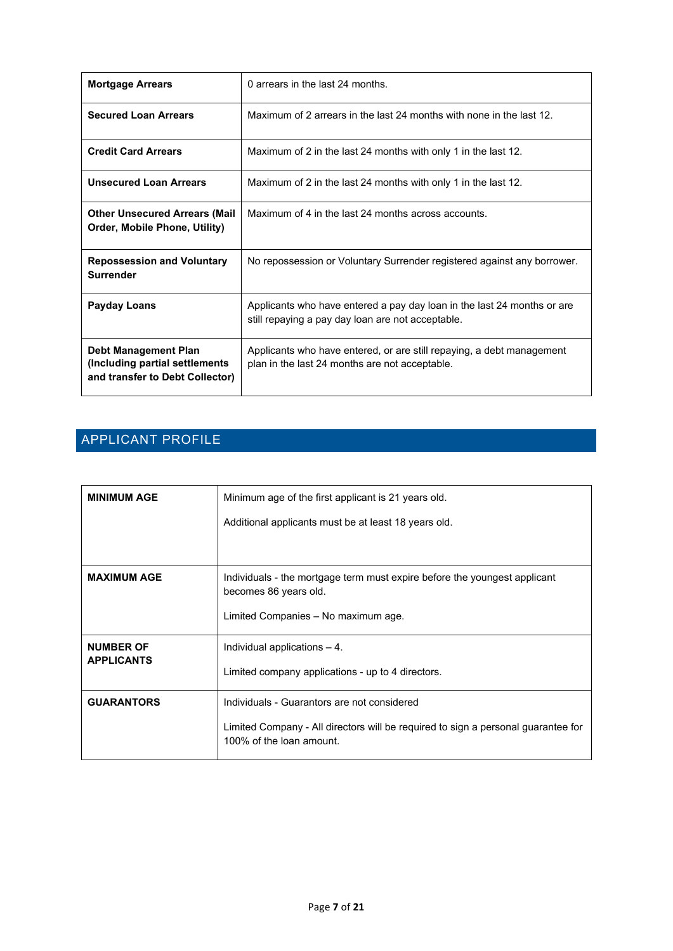| <b>Mortgage Arrears</b>                                                                           | 0 arrears in the last 24 months.                                                                                             |
|---------------------------------------------------------------------------------------------------|------------------------------------------------------------------------------------------------------------------------------|
| <b>Secured Loan Arrears</b>                                                                       | Maximum of 2 arrears in the last 24 months with none in the last 12.                                                         |
| <b>Credit Card Arrears</b>                                                                        | Maximum of 2 in the last 24 months with only 1 in the last 12.                                                               |
| <b>Unsecured Loan Arrears</b>                                                                     | Maximum of 2 in the last 24 months with only 1 in the last 12.                                                               |
| <b>Other Unsecured Arrears (Mail</b><br>Order, Mobile Phone, Utility)                             | Maximum of 4 in the last 24 months across accounts.                                                                          |
| <b>Repossession and Voluntary</b><br><b>Surrender</b>                                             | No repossession or Voluntary Surrender registered against any borrower.                                                      |
| Payday Loans                                                                                      | Applicants who have entered a pay day loan in the last 24 months or are<br>still repaying a pay day loan are not acceptable. |
| <b>Debt Management Plan</b><br>(Including partial settlements)<br>and transfer to Debt Collector) | Applicants who have entered, or are still repaying, a debt management<br>plan in the last 24 months are not acceptable.      |

# <span id="page-6-0"></span>APPLICANT PROFILE

| <b>MINIMUM AGE</b>                    | Minimum age of the first applicant is 21 years old.                                                           |  |
|---------------------------------------|---------------------------------------------------------------------------------------------------------------|--|
|                                       | Additional applicants must be at least 18 years old.                                                          |  |
|                                       |                                                                                                               |  |
| <b>MAXIMUM AGE</b>                    | Individuals - the mortgage term must expire before the youngest applicant<br>becomes 86 years old.            |  |
|                                       | Limited Companies - No maximum age.                                                                           |  |
| <b>NUMBER OF</b><br><b>APPLICANTS</b> | Individual applications $-4$ .                                                                                |  |
|                                       | Limited company applications - up to 4 directors.                                                             |  |
| <b>GUARANTORS</b>                     | Individuals - Guarantors are not considered                                                                   |  |
|                                       | Limited Company - All directors will be required to sign a personal guarantee for<br>100% of the loan amount. |  |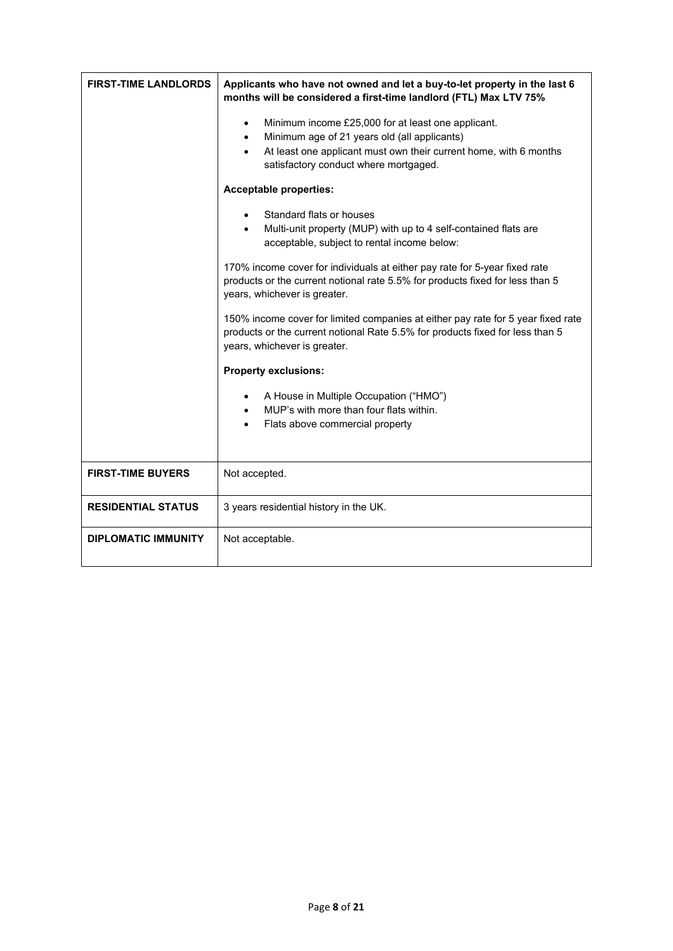| <b>FIRST-TIME LANDLORDS</b> | Applicants who have not owned and let a buy-to-let property in the last 6<br>months will be considered a first-time landlord (FTL) Max LTV 75%                                                                                                          |  |  |
|-----------------------------|---------------------------------------------------------------------------------------------------------------------------------------------------------------------------------------------------------------------------------------------------------|--|--|
|                             | Minimum income £25,000 for at least one applicant.<br>$\bullet$<br>Minimum age of 21 years old (all applicants)<br>$\bullet$<br>At least one applicant must own their current home, with 6 months<br>$\bullet$<br>satisfactory conduct where mortgaged. |  |  |
|                             | <b>Acceptable properties:</b>                                                                                                                                                                                                                           |  |  |
|                             | Standard flats or houses<br>Multi-unit property (MUP) with up to 4 self-contained flats are<br>$\bullet$<br>acceptable, subject to rental income below:                                                                                                 |  |  |
|                             | 170% income cover for individuals at either pay rate for 5-year fixed rate<br>products or the current notional rate 5.5% for products fixed for less than 5<br>years, whichever is greater.                                                             |  |  |
|                             | 150% income cover for limited companies at either pay rate for 5 year fixed rate<br>products or the current notional Rate 5.5% for products fixed for less than 5<br>years, whichever is greater.                                                       |  |  |
|                             | <b>Property exclusions:</b>                                                                                                                                                                                                                             |  |  |
|                             | A House in Multiple Occupation ("HMO")<br>MUP's with more than four flats within.<br>Flats above commercial property                                                                                                                                    |  |  |
| <b>FIRST-TIME BUYERS</b>    | Not accepted.                                                                                                                                                                                                                                           |  |  |
| <b>RESIDENTIAL STATUS</b>   | 3 years residential history in the UK.                                                                                                                                                                                                                  |  |  |
| <b>DIPLOMATIC IMMUNITY</b>  | Not acceptable.                                                                                                                                                                                                                                         |  |  |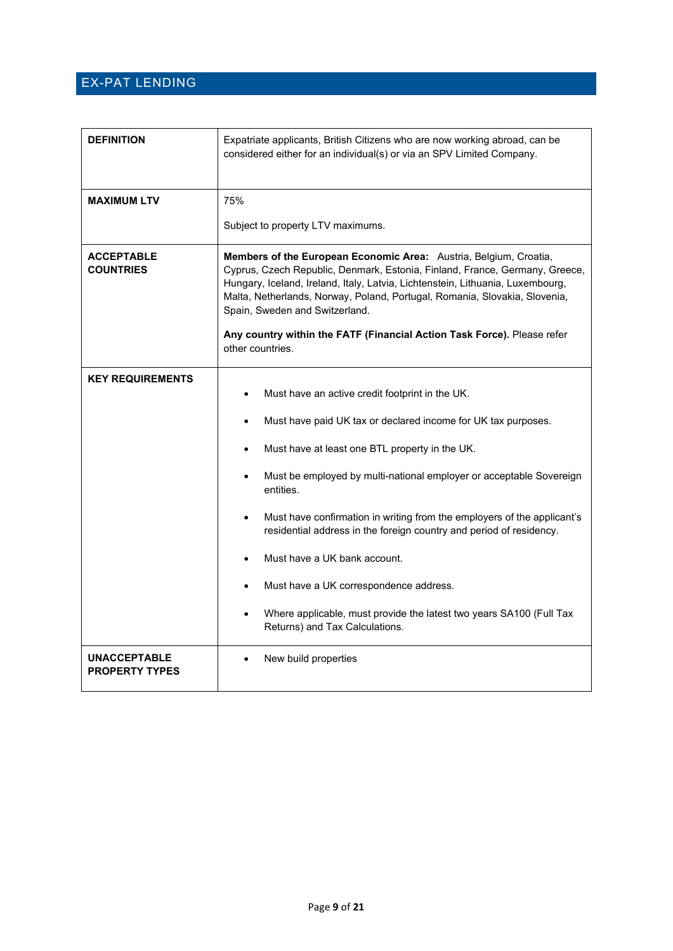#### <span id="page-8-0"></span>EX-PAT LENDING

| <b>DEFINITION</b>                            | Expatriate applicants, British Citizens who are now working abroad, can be<br>considered either for an individual(s) or via an SPV Limited Company.                                                                                                                                                                                                                                                                                               |  |  |
|----------------------------------------------|---------------------------------------------------------------------------------------------------------------------------------------------------------------------------------------------------------------------------------------------------------------------------------------------------------------------------------------------------------------------------------------------------------------------------------------------------|--|--|
| <b>MAXIMUM LTV</b>                           | 75%                                                                                                                                                                                                                                                                                                                                                                                                                                               |  |  |
|                                              | Subject to property LTV maximums.                                                                                                                                                                                                                                                                                                                                                                                                                 |  |  |
| <b>ACCEPTABLE</b><br><b>COUNTRIES</b>        | Members of the European Economic Area: Austria, Belgium, Croatia,<br>Cyprus, Czech Republic, Denmark, Estonia, Finland, France, Germany, Greece,<br>Hungary, Iceland, Ireland, Italy, Latvia, Lichtenstein, Lithuania, Luxembourg,<br>Malta, Netherlands, Norway, Poland, Portugal, Romania, Slovakia, Slovenia,<br>Spain, Sweden and Switzerland.<br>Any country within the FATF (Financial Action Task Force). Please refer<br>other countries. |  |  |
|                                              |                                                                                                                                                                                                                                                                                                                                                                                                                                                   |  |  |
| <b>KEY REQUIREMENTS</b>                      | Must have an active credit footprint in the UK.                                                                                                                                                                                                                                                                                                                                                                                                   |  |  |
|                                              | Must have paid UK tax or declared income for UK tax purposes.<br>$\bullet$                                                                                                                                                                                                                                                                                                                                                                        |  |  |
|                                              | Must have at least one BTL property in the UK.<br>$\bullet$                                                                                                                                                                                                                                                                                                                                                                                       |  |  |
|                                              | Must be employed by multi-national employer or acceptable Sovereign<br>entities.                                                                                                                                                                                                                                                                                                                                                                  |  |  |
|                                              | Must have confirmation in writing from the employers of the applicant's<br>residential address in the foreign country and period of residency.                                                                                                                                                                                                                                                                                                    |  |  |
|                                              | Must have a UK bank account.                                                                                                                                                                                                                                                                                                                                                                                                                      |  |  |
|                                              | Must have a UK correspondence address.<br>$\bullet$                                                                                                                                                                                                                                                                                                                                                                                               |  |  |
|                                              | Where applicable, must provide the latest two years SA100 (Full Tax<br>$\bullet$<br>Returns) and Tax Calculations.                                                                                                                                                                                                                                                                                                                                |  |  |
| <b>UNACCEPTABLE</b><br><b>PROPERTY TYPES</b> | New build properties<br>$\bullet$                                                                                                                                                                                                                                                                                                                                                                                                                 |  |  |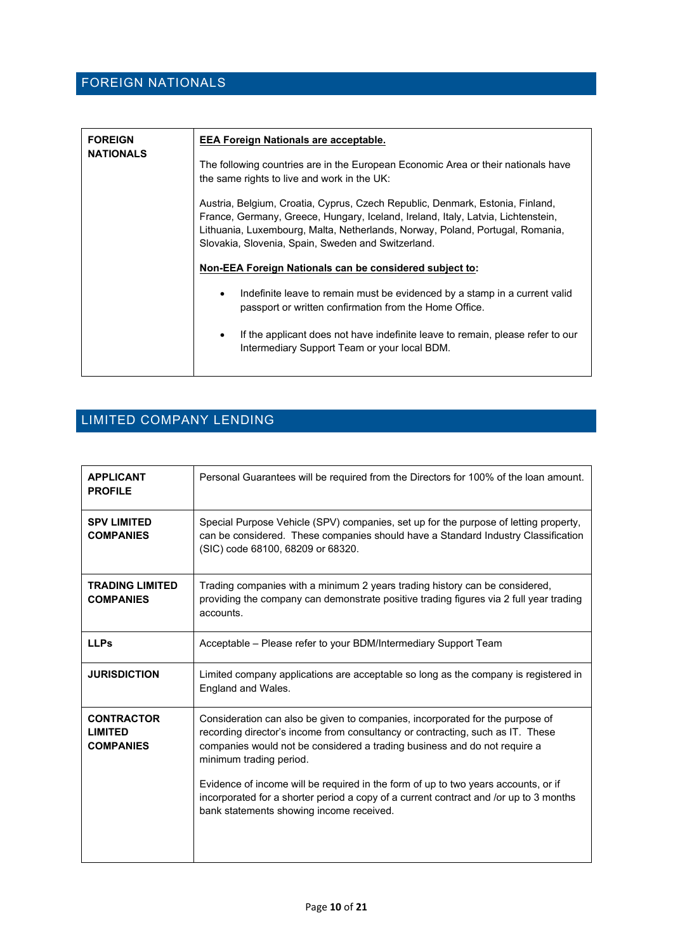<span id="page-9-0"></span>

| <b>FOREIGN</b><br><b>NATIONALS</b> | <b>EEA Foreign Nationals are acceptable.</b>                                                                                                                                                                                                                                                             |  |  |
|------------------------------------|----------------------------------------------------------------------------------------------------------------------------------------------------------------------------------------------------------------------------------------------------------------------------------------------------------|--|--|
|                                    | The following countries are in the European Economic Area or their nationals have<br>the same rights to live and work in the UK:                                                                                                                                                                         |  |  |
|                                    | Austria, Belgium, Croatia, Cyprus, Czech Republic, Denmark, Estonia, Finland,<br>France, Germany, Greece, Hungary, Iceland, Ireland, Italy, Latvia, Lichtenstein,<br>Lithuania, Luxembourg, Malta, Netherlands, Norway, Poland, Portugal, Romania,<br>Slovakia, Slovenia, Spain, Sweden and Switzerland. |  |  |
|                                    | Non-EEA Foreign Nationals can be considered subject to:                                                                                                                                                                                                                                                  |  |  |
|                                    | Indefinite leave to remain must be evidenced by a stamp in a current valid<br>$\bullet$<br>passport or written confirmation from the Home Office.                                                                                                                                                        |  |  |
|                                    | If the applicant does not have indefinite leave to remain, please refer to our<br>$\bullet$<br>Intermediary Support Team or your local BDM.                                                                                                                                                              |  |  |
|                                    |                                                                                                                                                                                                                                                                                                          |  |  |

## <span id="page-9-1"></span>LIMITED COMPANY LENDING

| <b>APPLICANT</b><br><b>PROFILE</b>                      | Personal Guarantees will be required from the Directors for 100% of the loan amount.                                                                                                                                                                                                                                                                                                                                                                                                               |
|---------------------------------------------------------|----------------------------------------------------------------------------------------------------------------------------------------------------------------------------------------------------------------------------------------------------------------------------------------------------------------------------------------------------------------------------------------------------------------------------------------------------------------------------------------------------|
| <b>SPV LIMITED</b><br><b>COMPANIES</b>                  | Special Purpose Vehicle (SPV) companies, set up for the purpose of letting property,<br>can be considered. These companies should have a Standard Industry Classification<br>(SIC) code 68100, 68209 or 68320.                                                                                                                                                                                                                                                                                     |
| <b>TRADING LIMITED</b><br><b>COMPANIES</b>              | Trading companies with a minimum 2 years trading history can be considered,<br>providing the company can demonstrate positive trading figures via 2 full year trading<br>accounts.                                                                                                                                                                                                                                                                                                                 |
| <b>LLPs</b>                                             | Acceptable - Please refer to your BDM/Intermediary Support Team                                                                                                                                                                                                                                                                                                                                                                                                                                    |
| <b>JURISDICTION</b>                                     | Limited company applications are acceptable so long as the company is registered in<br>England and Wales.                                                                                                                                                                                                                                                                                                                                                                                          |
| <b>CONTRACTOR</b><br><b>LIMITED</b><br><b>COMPANIES</b> | Consideration can also be given to companies, incorporated for the purpose of<br>recording director's income from consultancy or contracting, such as IT. These<br>companies would not be considered a trading business and do not require a<br>minimum trading period.<br>Evidence of income will be required in the form of up to two years accounts, or if<br>incorporated for a shorter period a copy of a current contract and /or up to 3 months<br>bank statements showing income received. |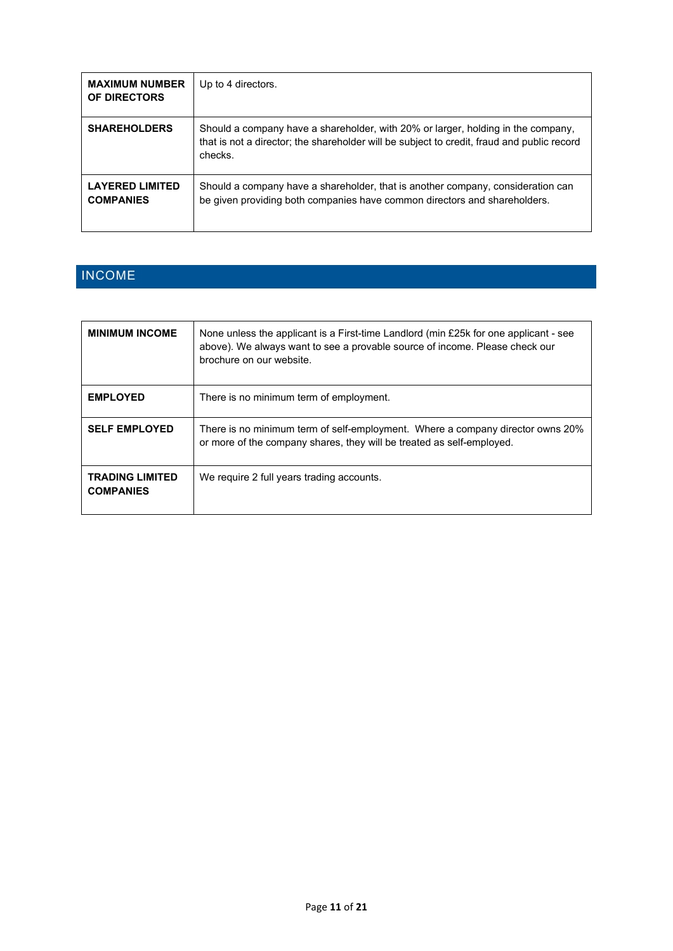| <b>MAXIMUM NUMBER</b><br>OF DIRECTORS      | Up to 4 directors.                                                                                                                                                                        |
|--------------------------------------------|-------------------------------------------------------------------------------------------------------------------------------------------------------------------------------------------|
| <b>SHAREHOLDERS</b>                        | Should a company have a shareholder, with 20% or larger, holding in the company,<br>that is not a director; the shareholder will be subject to credit, fraud and public record<br>checks. |
| <b>LAYERED LIMITED</b><br><b>COMPANIES</b> | Should a company have a shareholder, that is another company, consideration can<br>be given providing both companies have common directors and shareholders.                              |

# <span id="page-10-0"></span>INCOME

| <b>MINIMUM INCOME</b>                      | None unless the applicant is a First-time Landlord (min £25k for one applicant - see<br>above). We always want to see a provable source of income. Please check our<br>brochure on our website. |
|--------------------------------------------|-------------------------------------------------------------------------------------------------------------------------------------------------------------------------------------------------|
| <b>EMPLOYED</b>                            | There is no minimum term of employment.                                                                                                                                                         |
| <b>SELF EMPLOYED</b>                       | There is no minimum term of self-employment. Where a company director owns 20%<br>or more of the company shares, they will be treated as self-employed.                                         |
| <b>TRADING LIMITED</b><br><b>COMPANIES</b> | We require 2 full years trading accounts.                                                                                                                                                       |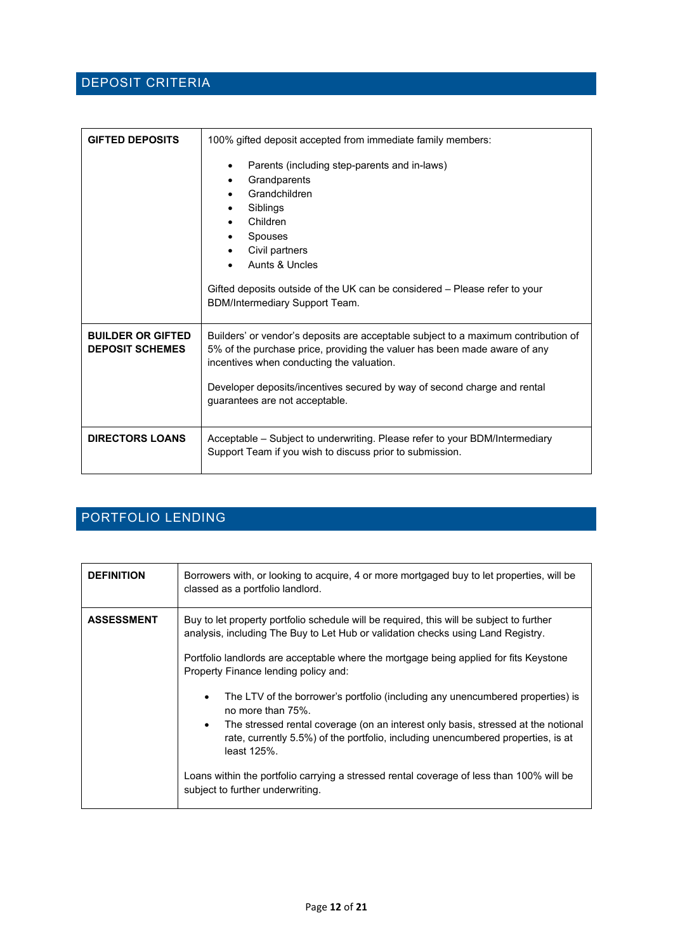#### <span id="page-11-0"></span>DEPOSIT CRITERIA

| <b>GIFTED DEPOSITS</b>                             | 100% gifted deposit accepted from immediate family members:                                                                                                                                                                                                                                                                |
|----------------------------------------------------|----------------------------------------------------------------------------------------------------------------------------------------------------------------------------------------------------------------------------------------------------------------------------------------------------------------------------|
|                                                    | Parents (including step-parents and in-laws)<br>Grandparents<br>$\bullet$<br>Grandchildren<br>Siblings<br>Children<br>Spouses<br>Civil partners<br>Aunts & Uncles<br>Gifted deposits outside of the UK can be considered – Please refer to your<br>BDM/Intermediary Support Team.                                          |
| <b>BUILDER OR GIFTED</b><br><b>DEPOSIT SCHEMES</b> | Builders' or vendor's deposits are acceptable subject to a maximum contribution of<br>5% of the purchase price, providing the valuer has been made aware of any<br>incentives when conducting the valuation.<br>Developer deposits/incentives secured by way of second charge and rental<br>guarantees are not acceptable. |
| <b>DIRECTORS LOANS</b>                             | Acceptable – Subject to underwriting. Please refer to your BDM/Intermediary<br>Support Team if you wish to discuss prior to submission.                                                                                                                                                                                    |

#### <span id="page-11-1"></span>PORTFOLIO LENDING

| <b>DEFINITION</b> | Borrowers with, or looking to acquire, 4 or more mortgaged buy to let properties, will be<br>classed as a portfolio landlord.                                                                                                                                                                                                                                                                                                                                                                                                                                                                                                                                                                                                                                         |
|-------------------|-----------------------------------------------------------------------------------------------------------------------------------------------------------------------------------------------------------------------------------------------------------------------------------------------------------------------------------------------------------------------------------------------------------------------------------------------------------------------------------------------------------------------------------------------------------------------------------------------------------------------------------------------------------------------------------------------------------------------------------------------------------------------|
| <b>ASSESSMENT</b> | Buy to let property portfolio schedule will be required, this will be subject to further<br>analysis, including The Buy to Let Hub or validation checks using Land Registry.<br>Portfolio landlords are acceptable where the mortgage being applied for fits Keystone<br>Property Finance lending policy and:<br>The LTV of the borrower's portfolio (including any unencumbered properties) is<br>$\bullet$<br>no more than 75%<br>The stressed rental coverage (on an interest only basis, stressed at the notional<br>$\bullet$<br>rate, currently 5.5%) of the portfolio, including unencumbered properties, is at<br>least 125%.<br>Loans within the portfolio carrying a stressed rental coverage of less than 100% will be<br>subject to further underwriting. |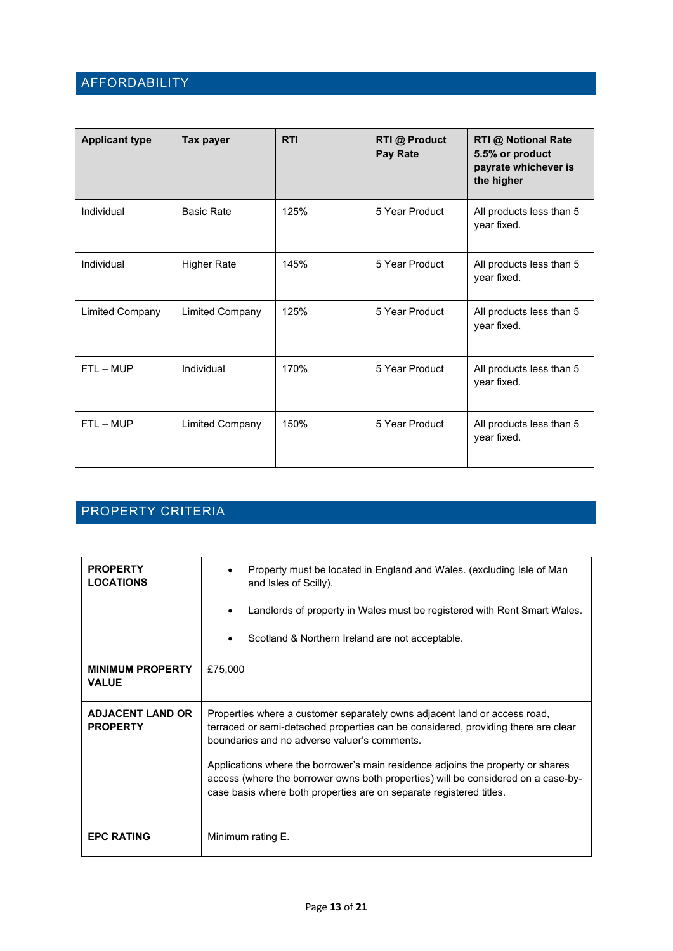#### <span id="page-12-0"></span>AFFORDABILITY

| <b>Applicant type</b>  | Tax payer              | <b>RTI</b> | <b>RTI @ Product</b><br>Pay Rate | <b>RTI @ Notional Rate</b><br>5.5% or product<br>payrate whichever is<br>the higher |
|------------------------|------------------------|------------|----------------------------------|-------------------------------------------------------------------------------------|
| Individual             | <b>Basic Rate</b>      | 125%       | 5 Year Product                   | All products less than 5<br>year fixed.                                             |
| Individual             | <b>Higher Rate</b>     | 145%       | 5 Year Product                   | All products less than 5<br>year fixed.                                             |
| <b>Limited Company</b> | <b>Limited Company</b> | 125%       | 5 Year Product                   | All products less than 5<br>year fixed.                                             |
| $FTL - MUP$            | Individual             | 170%       | 5 Year Product                   | All products less than 5<br>year fixed.                                             |
| $FTL - MUP$            | <b>Limited Company</b> | 150%       | 5 Year Product                   | All products less than 5<br>year fixed.                                             |

#### <span id="page-12-1"></span>PROPERTY CRITERIA

| <b>PROPERTY</b><br><b>LOCATIONS</b>        | Property must be located in England and Wales. (excluding Isle of Man<br>and Isles of Scilly).<br>Landlords of property in Wales must be registered with Rent Smart Wales.<br>Scotland & Northern Ireland are not acceptable.                                                                                                                                                                                                                                 |  |
|--------------------------------------------|---------------------------------------------------------------------------------------------------------------------------------------------------------------------------------------------------------------------------------------------------------------------------------------------------------------------------------------------------------------------------------------------------------------------------------------------------------------|--|
| <b>MINIMUM PROPERTY</b><br><b>VALUE</b>    | £75,000                                                                                                                                                                                                                                                                                                                                                                                                                                                       |  |
| <b>ADJACENT LAND OR</b><br><b>PROPERTY</b> | Properties where a customer separately owns adjacent land or access road,<br>terraced or semi-detached properties can be considered, providing there are clear<br>boundaries and no adverse valuer's comments.<br>Applications where the borrower's main residence adjoins the property or shares<br>access (where the borrower owns both properties) will be considered on a case-by-<br>case basis where both properties are on separate registered titles. |  |
| <b>EPC RATING</b>                          | Minimum rating E.                                                                                                                                                                                                                                                                                                                                                                                                                                             |  |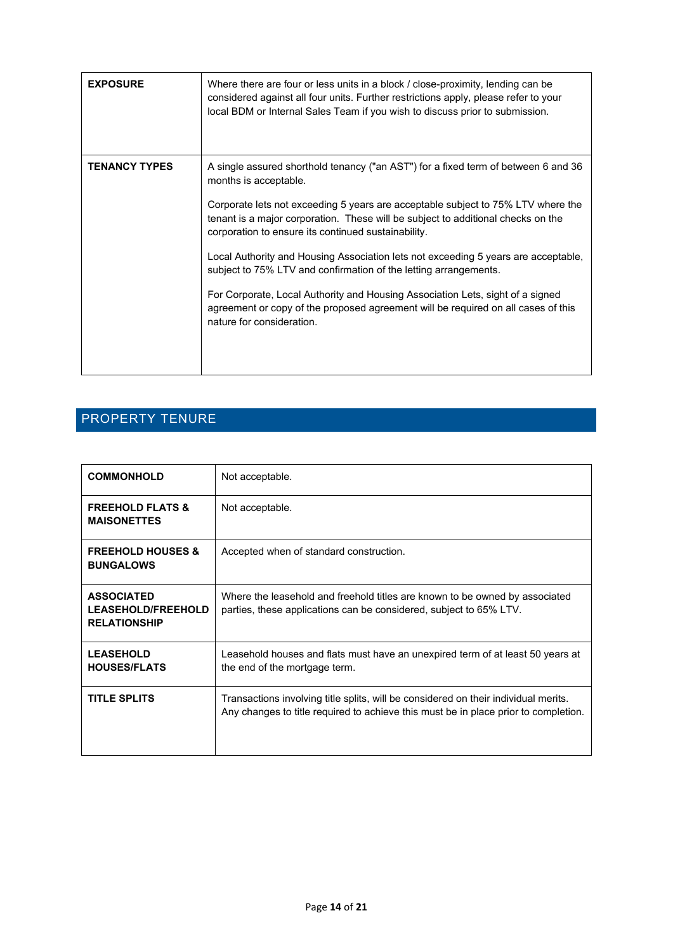| <b>EXPOSURE</b>      | Where there are four or less units in a block / close-proximity, lending can be<br>considered against all four units. Further restrictions apply, please refer to your<br>local BDM or Internal Sales Team if you wish to discuss prior to submission.                                                                                                                                                                                                                                                                                                                                                                                                                                                   |
|----------------------|----------------------------------------------------------------------------------------------------------------------------------------------------------------------------------------------------------------------------------------------------------------------------------------------------------------------------------------------------------------------------------------------------------------------------------------------------------------------------------------------------------------------------------------------------------------------------------------------------------------------------------------------------------------------------------------------------------|
| <b>TENANCY TYPES</b> | A single assured shorthold tenancy ("an AST") for a fixed term of between 6 and 36<br>months is acceptable.<br>Corporate lets not exceeding 5 years are acceptable subject to 75% LTV where the<br>tenant is a major corporation. These will be subject to additional checks on the<br>corporation to ensure its continued sustainability.<br>Local Authority and Housing Association lets not exceeding 5 years are acceptable,<br>subject to 75% LTV and confirmation of the letting arrangements.<br>For Corporate, Local Authority and Housing Association Lets, sight of a signed<br>agreement or copy of the proposed agreement will be required on all cases of this<br>nature for consideration. |

# <span id="page-13-0"></span>PROPERTY TENURE

| <b>COMMONHOLD</b>                                                     | Not acceptable.                                                                                                                                                            |
|-----------------------------------------------------------------------|----------------------------------------------------------------------------------------------------------------------------------------------------------------------------|
| <b>FREEHOLD FLATS &amp;</b><br><b>MAISONETTES</b>                     | Not acceptable.                                                                                                                                                            |
| <b>FREEHOLD HOUSES &amp;</b><br><b>BUNGALOWS</b>                      | Accepted when of standard construction.                                                                                                                                    |
| <b>ASSOCIATED</b><br><b>LEASEHOLD/FREEHOLD</b><br><b>RELATIONSHIP</b> | Where the leasehold and freehold titles are known to be owned by associated<br>parties, these applications can be considered, subject to 65% LTV.                          |
| <b>LEASEHOLD</b><br><b>HOUSES/FLATS</b>                               | Leasehold houses and flats must have an unexpired term of at least 50 years at<br>the end of the mortgage term.                                                            |
| <b>TITLE SPLITS</b>                                                   | Transactions involving title splits, will be considered on their individual merits.<br>Any changes to title required to achieve this must be in place prior to completion. |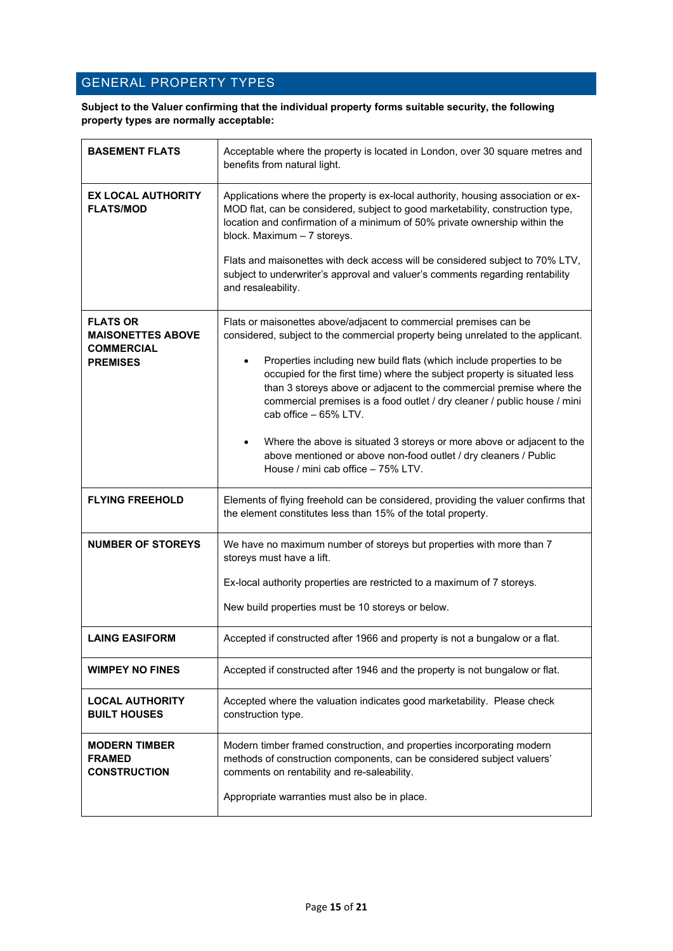#### <span id="page-14-0"></span>GENERAL PROPERTY TYPES

**Subject to the Valuer confirming that the individual property forms suitable security, the following property types are normally acceptable:**

| <b>BASEMENT FLATS</b>                                            | Acceptable where the property is located in London, over 30 square metres and<br>benefits from natural light.                                                                                                                                                                                                                              |
|------------------------------------------------------------------|--------------------------------------------------------------------------------------------------------------------------------------------------------------------------------------------------------------------------------------------------------------------------------------------------------------------------------------------|
| <b>EX LOCAL AUTHORITY</b><br><b>FLATS/MOD</b>                    | Applications where the property is ex-local authority, housing association or ex-<br>MOD flat, can be considered, subject to good marketability, construction type,<br>location and confirmation of a minimum of 50% private ownership within the<br>block. Maximum - 7 storeys.                                                           |
|                                                                  | Flats and maisonettes with deck access will be considered subject to 70% LTV,<br>subject to underwriter's approval and valuer's comments regarding rentability<br>and resaleability.                                                                                                                                                       |
| <b>FLATS OR</b><br><b>MAISONETTES ABOVE</b><br><b>COMMERCIAL</b> | Flats or maisonettes above/adjacent to commercial premises can be<br>considered, subject to the commercial property being unrelated to the applicant.                                                                                                                                                                                      |
| <b>PREMISES</b>                                                  | Properties including new build flats (which include properties to be<br>$\bullet$<br>occupied for the first time) where the subject property is situated less<br>than 3 storeys above or adjacent to the commercial premise where the<br>commercial premises is a food outlet / dry cleaner / public house / mini<br>cab office - 65% LTV. |
|                                                                  | Where the above is situated 3 storeys or more above or adjacent to the<br>$\bullet$<br>above mentioned or above non-food outlet / dry cleaners / Public<br>House / mini cab office - 75% LTV.                                                                                                                                              |
| <b>FLYING FREEHOLD</b>                                           | Elements of flying freehold can be considered, providing the valuer confirms that<br>the element constitutes less than 15% of the total property.                                                                                                                                                                                          |
| <b>NUMBER OF STOREYS</b>                                         | We have no maximum number of storeys but properties with more than 7<br>storeys must have a lift.                                                                                                                                                                                                                                          |
|                                                                  | Ex-local authority properties are restricted to a maximum of 7 storeys.                                                                                                                                                                                                                                                                    |
|                                                                  | New build properties must be 10 storeys or below.                                                                                                                                                                                                                                                                                          |
| <b>LAING EASIFORM</b>                                            | Accepted if constructed after 1966 and property is not a bungalow or a flat.                                                                                                                                                                                                                                                               |
| <b>WIMPEY NO FINES</b>                                           | Accepted if constructed after 1946 and the property is not bungalow or flat.                                                                                                                                                                                                                                                               |
| <b>LOCAL AUTHORITY</b><br><b>BUILT HOUSES</b>                    | Accepted where the valuation indicates good marketability. Please check<br>construction type.                                                                                                                                                                                                                                              |
| <b>MODERN TIMBER</b><br><b>FRAMED</b><br><b>CONSTRUCTION</b>     | Modern timber framed construction, and properties incorporating modern<br>methods of construction components, can be considered subject valuers'<br>comments on rentability and re-saleability.                                                                                                                                            |
|                                                                  | Appropriate warranties must also be in place.                                                                                                                                                                                                                                                                                              |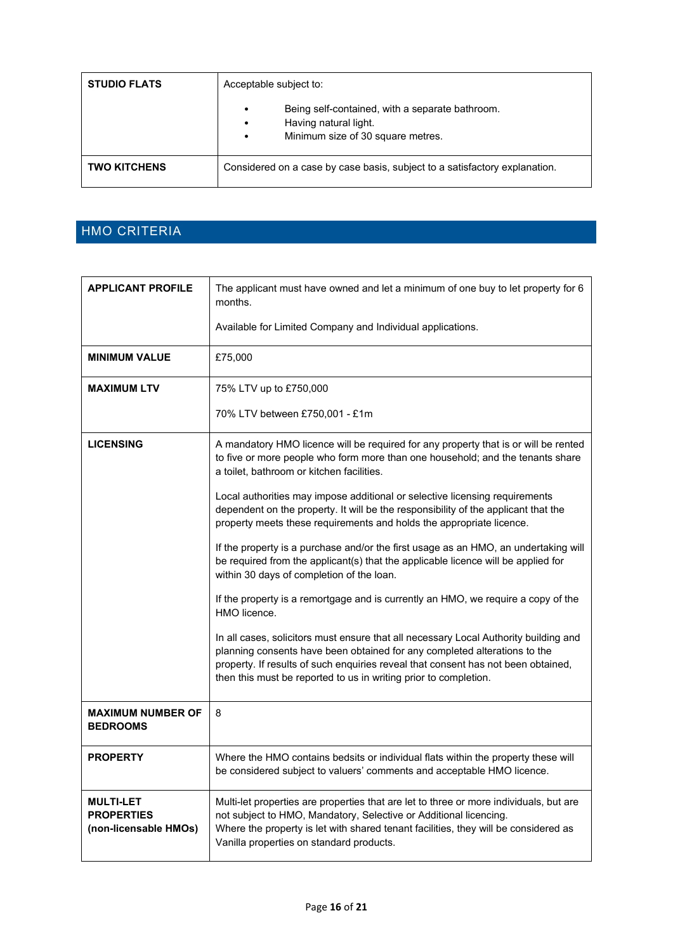| <b>STUDIO FLATS</b> | Acceptable subject to:                                                                                                                               |  |
|---------------------|------------------------------------------------------------------------------------------------------------------------------------------------------|--|
|                     | Being self-contained, with a separate bathroom.<br>$\bullet$<br>Having natural light.<br>$\bullet$<br>Minimum size of 30 square metres.<br>$\bullet$ |  |
| <b>TWO KITCHENS</b> | Considered on a case by case basis, subject to a satisfactory explanation.                                                                           |  |

### <span id="page-15-0"></span>HMO CRITERIA

| <b>APPLICANT PROFILE</b>                                       | The applicant must have owned and let a minimum of one buy to let property for 6<br>months.                                                                                                                                                                                                                                |
|----------------------------------------------------------------|----------------------------------------------------------------------------------------------------------------------------------------------------------------------------------------------------------------------------------------------------------------------------------------------------------------------------|
|                                                                | Available for Limited Company and Individual applications.                                                                                                                                                                                                                                                                 |
| <b>MINIMUM VALUE</b>                                           | £75,000                                                                                                                                                                                                                                                                                                                    |
| <b>MAXIMUM LTV</b>                                             | 75% LTV up to £750,000                                                                                                                                                                                                                                                                                                     |
|                                                                | 70% LTV between £750,001 - £1m                                                                                                                                                                                                                                                                                             |
| <b>LICENSING</b>                                               | A mandatory HMO licence will be required for any property that is or will be rented<br>to five or more people who form more than one household; and the tenants share<br>a toilet, bathroom or kitchen facilities.                                                                                                         |
|                                                                | Local authorities may impose additional or selective licensing requirements<br>dependent on the property. It will be the responsibility of the applicant that the<br>property meets these requirements and holds the appropriate licence.                                                                                  |
|                                                                | If the property is a purchase and/or the first usage as an HMO, an undertaking will<br>be required from the applicant(s) that the applicable licence will be applied for<br>within 30 days of completion of the loan.                                                                                                      |
|                                                                | If the property is a remortgage and is currently an HMO, we require a copy of the<br>HMO licence.                                                                                                                                                                                                                          |
|                                                                | In all cases, solicitors must ensure that all necessary Local Authority building and<br>planning consents have been obtained for any completed alterations to the<br>property. If results of such enquiries reveal that consent has not been obtained,<br>then this must be reported to us in writing prior to completion. |
| <b>MAXIMUM NUMBER OF</b><br><b>BEDROOMS</b>                    | 8                                                                                                                                                                                                                                                                                                                          |
| <b>PROPERTY</b>                                                | Where the HMO contains bedsits or individual flats within the property these will<br>be considered subject to valuers' comments and acceptable HMO licence.                                                                                                                                                                |
| <b>MULTI-LET</b><br><b>PROPERTIES</b><br>(non-licensable HMOs) | Multi-let properties are properties that are let to three or more individuals, but are<br>not subject to HMO, Mandatory, Selective or Additional licencing.<br>Where the property is let with shared tenant facilities, they will be considered as<br>Vanilla properties on standard products.                             |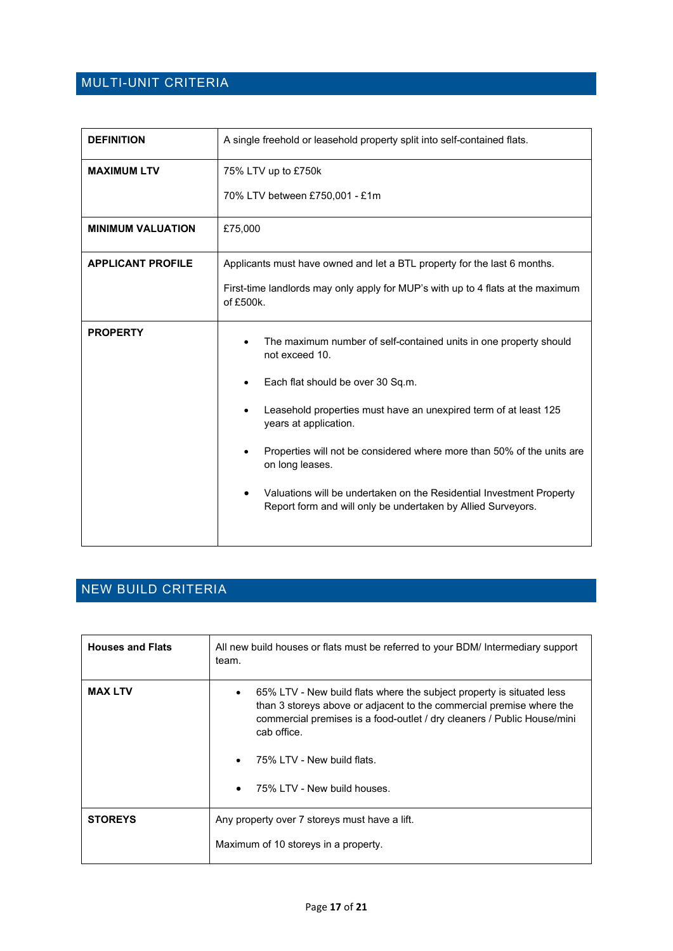### <span id="page-16-0"></span>MULTI-UNIT CRITERIA

| <b>DEFINITION</b>        | A single freehold or leasehold property split into self-contained flats.                                                                                                                                                                                                                                                                                                                                                                                                |
|--------------------------|-------------------------------------------------------------------------------------------------------------------------------------------------------------------------------------------------------------------------------------------------------------------------------------------------------------------------------------------------------------------------------------------------------------------------------------------------------------------------|
| <b>MAXIMUM LTV</b>       | 75% LTV up to £750k<br>70% LTV between £750,001 - £1m                                                                                                                                                                                                                                                                                                                                                                                                                   |
| <b>MINIMUM VALUATION</b> | £75,000                                                                                                                                                                                                                                                                                                                                                                                                                                                                 |
| <b>APPLICANT PROFILE</b> | Applicants must have owned and let a BTL property for the last 6 months.<br>First-time landlords may only apply for MUP's with up to 4 flats at the maximum<br>of £500k.                                                                                                                                                                                                                                                                                                |
| <b>PROPERTY</b>          | The maximum number of self-contained units in one property should<br>not exceed 10.<br>Each flat should be over 30 Sq.m.<br>Leasehold properties must have an unexpired term of at least 125<br>years at application.<br>Properties will not be considered where more than 50% of the units are<br>on long leases.<br>Valuations will be undertaken on the Residential Investment Property<br>$\bullet$<br>Report form and will only be undertaken by Allied Surveyors. |

### <span id="page-16-1"></span>NEW BUILD CRITERIA

| <b>Houses and Flats</b> | All new build houses or flats must be referred to your BDM/ Intermediary support<br>team.                                                                                                                                                                                                            |  |
|-------------------------|------------------------------------------------------------------------------------------------------------------------------------------------------------------------------------------------------------------------------------------------------------------------------------------------------|--|
| <b>MAX LTV</b>          | 65% LTV - New build flats where the subject property is situated less<br>than 3 storeys above or adjacent to the commercial premise where the<br>commercial premises is a food-outlet / dry cleaners / Public House/mini<br>cab office.<br>75% LTV - New build flats.<br>75% LTV - New build houses. |  |
| <b>STOREYS</b>          | Any property over 7 storeys must have a lift.                                                                                                                                                                                                                                                        |  |
|                         | Maximum of 10 storeys in a property.                                                                                                                                                                                                                                                                 |  |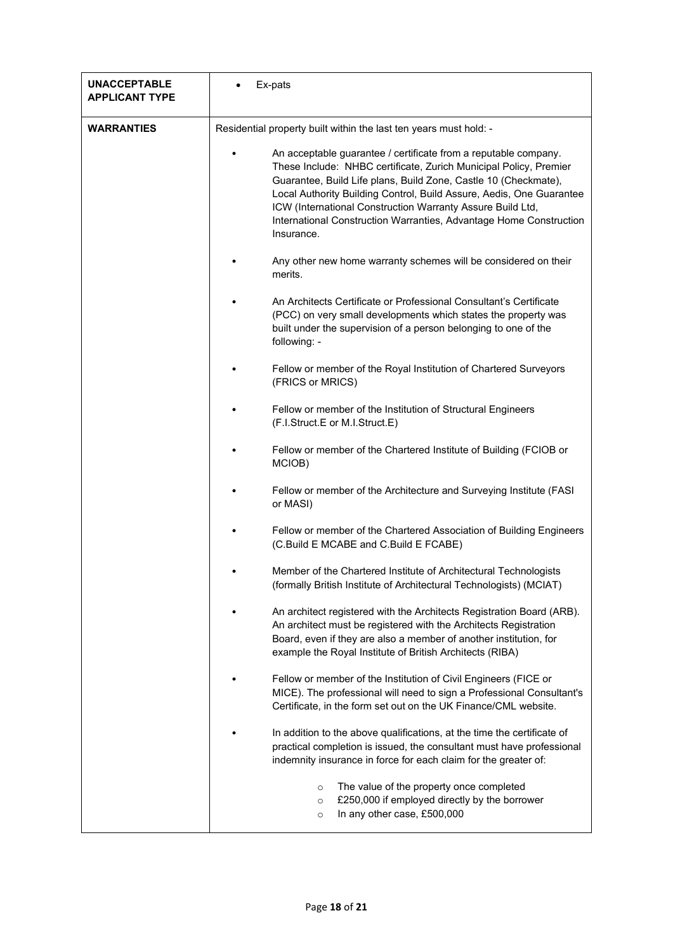| <b>UNACCEPTABLE</b><br><b>APPLICANT TYPE</b> | Ex-pats                                                                                                                                                                                                                                                                                                                                                                                                                           |
|----------------------------------------------|-----------------------------------------------------------------------------------------------------------------------------------------------------------------------------------------------------------------------------------------------------------------------------------------------------------------------------------------------------------------------------------------------------------------------------------|
| <b>WARRANTIES</b>                            | Residential property built within the last ten years must hold: -                                                                                                                                                                                                                                                                                                                                                                 |
|                                              | An acceptable guarantee / certificate from a reputable company.<br>These Include: NHBC certificate, Zurich Municipal Policy, Premier<br>Guarantee, Build Life plans, Build Zone, Castle 10 (Checkmate),<br>Local Authority Building Control, Build Assure, Aedis, One Guarantee<br>ICW (International Construction Warranty Assure Build Ltd,<br>International Construction Warranties, Advantage Home Construction<br>Insurance. |
|                                              | Any other new home warranty schemes will be considered on their<br>merits.                                                                                                                                                                                                                                                                                                                                                        |
|                                              | An Architects Certificate or Professional Consultant's Certificate<br>(PCC) on very small developments which states the property was<br>built under the supervision of a person belonging to one of the<br>following: -                                                                                                                                                                                                           |
|                                              | Fellow or member of the Royal Institution of Chartered Surveyors<br>(FRICS or MRICS)                                                                                                                                                                                                                                                                                                                                              |
|                                              | Fellow or member of the Institution of Structural Engineers<br>(F.I.Struct.E or M.I.Struct.E)                                                                                                                                                                                                                                                                                                                                     |
|                                              | Fellow or member of the Chartered Institute of Building (FCIOB or<br>MCIOB)                                                                                                                                                                                                                                                                                                                                                       |
|                                              | Fellow or member of the Architecture and Surveying Institute (FASI<br>or MASI)                                                                                                                                                                                                                                                                                                                                                    |
|                                              | Fellow or member of the Chartered Association of Building Engineers<br>(C.Build E MCABE and C.Build E FCABE)                                                                                                                                                                                                                                                                                                                      |
|                                              | Member of the Chartered Institute of Architectural Technologists<br>(formally British Institute of Architectural Technologists) (MCIAT)                                                                                                                                                                                                                                                                                           |
|                                              | An architect registered with the Architects Registration Board (ARB).<br>An architect must be registered with the Architects Registration<br>Board, even if they are also a member of another institution, for<br>example the Royal Institute of British Architects (RIBA)                                                                                                                                                        |
|                                              | Fellow or member of the Institution of Civil Engineers (FICE or<br>MICE). The professional will need to sign a Professional Consultant's<br>Certificate, in the form set out on the UK Finance/CML website.                                                                                                                                                                                                                       |
|                                              | In addition to the above qualifications, at the time the certificate of<br>practical completion is issued, the consultant must have professional<br>indemnity insurance in force for each claim for the greater of:                                                                                                                                                                                                               |
|                                              | The value of the property once completed<br>$\circ$<br>£250,000 if employed directly by the borrower<br>$\circ$<br>In any other case, £500,000<br>$\circ$                                                                                                                                                                                                                                                                         |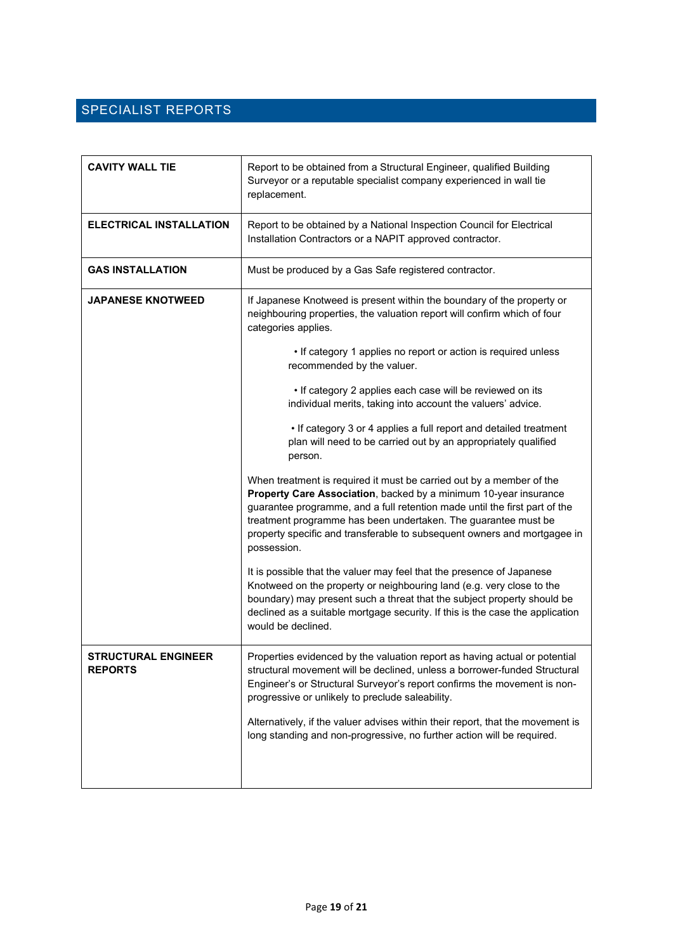### <span id="page-18-0"></span>SPECIALIST REPORTS

| <b>CAVITY WALL TIE</b>                       | Report to be obtained from a Structural Engineer, qualified Building<br>Surveyor or a reputable specialist company experienced in wall tie<br>replacement.                                                                                                                                                                                                                          |
|----------------------------------------------|-------------------------------------------------------------------------------------------------------------------------------------------------------------------------------------------------------------------------------------------------------------------------------------------------------------------------------------------------------------------------------------|
| <b>ELECTRICAL INSTALLATION</b>               | Report to be obtained by a National Inspection Council for Electrical<br>Installation Contractors or a NAPIT approved contractor.                                                                                                                                                                                                                                                   |
| <b>GAS INSTALLATION</b>                      | Must be produced by a Gas Safe registered contractor.                                                                                                                                                                                                                                                                                                                               |
| <b>JAPANESE KNOTWEED</b>                     | If Japanese Knotweed is present within the boundary of the property or<br>neighbouring properties, the valuation report will confirm which of four<br>categories applies.                                                                                                                                                                                                           |
|                                              | • If category 1 applies no report or action is required unless<br>recommended by the valuer.                                                                                                                                                                                                                                                                                        |
|                                              | . If category 2 applies each case will be reviewed on its<br>individual merits, taking into account the valuers' advice.                                                                                                                                                                                                                                                            |
|                                              | • If category 3 or 4 applies a full report and detailed treatment<br>plan will need to be carried out by an appropriately qualified<br>person.                                                                                                                                                                                                                                      |
|                                              | When treatment is required it must be carried out by a member of the<br>Property Care Association, backed by a minimum 10-year insurance<br>guarantee programme, and a full retention made until the first part of the<br>treatment programme has been undertaken. The guarantee must be<br>property specific and transferable to subsequent owners and mortgagee in<br>possession. |
|                                              | It is possible that the valuer may feel that the presence of Japanese<br>Knotweed on the property or neighbouring land (e.g. very close to the<br>boundary) may present such a threat that the subject property should be<br>declined as a suitable mortgage security. If this is the case the application<br>would be declined.                                                    |
| <b>STRUCTURAL ENGINEER</b><br><b>REPORTS</b> | Properties evidenced by the valuation report as having actual or potential<br>structural movement will be declined, unless a borrower-funded Structural<br>Engineer's or Structural Surveyor's report confirms the movement is non-<br>progressive or unlikely to preclude saleability.                                                                                             |
|                                              | Alternatively, if the valuer advises within their report, that the movement is<br>long standing and non-progressive, no further action will be required.                                                                                                                                                                                                                            |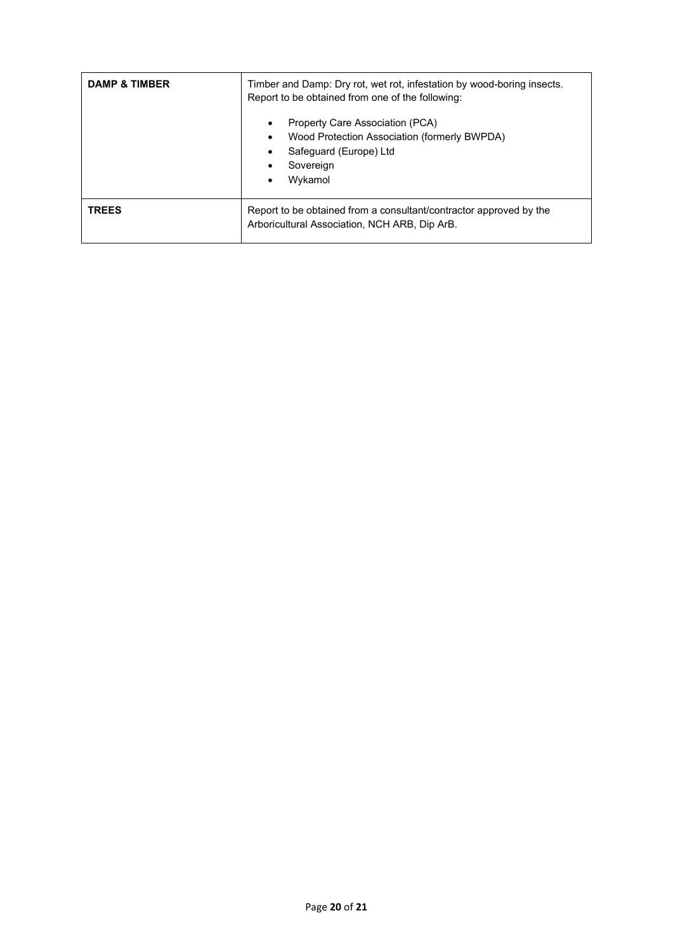| <b>DAMP &amp; TIMBER</b> | Timber and Damp: Dry rot, wet rot, infestation by wood-boring insects.<br>Report to be obtained from one of the following:                                 |
|--------------------------|------------------------------------------------------------------------------------------------------------------------------------------------------------|
|                          | Property Care Association (PCA)<br>٠<br>Wood Protection Association (formerly BWPDA)<br>٠<br>Safeguard (Europe) Ltd<br>٠<br>Sovereign<br>٠<br>Wykamol<br>٠ |
| <b>TREES</b>             | Report to be obtained from a consultant/contractor approved by the<br>Arboricultural Association, NCH ARB, Dip ArB.                                        |